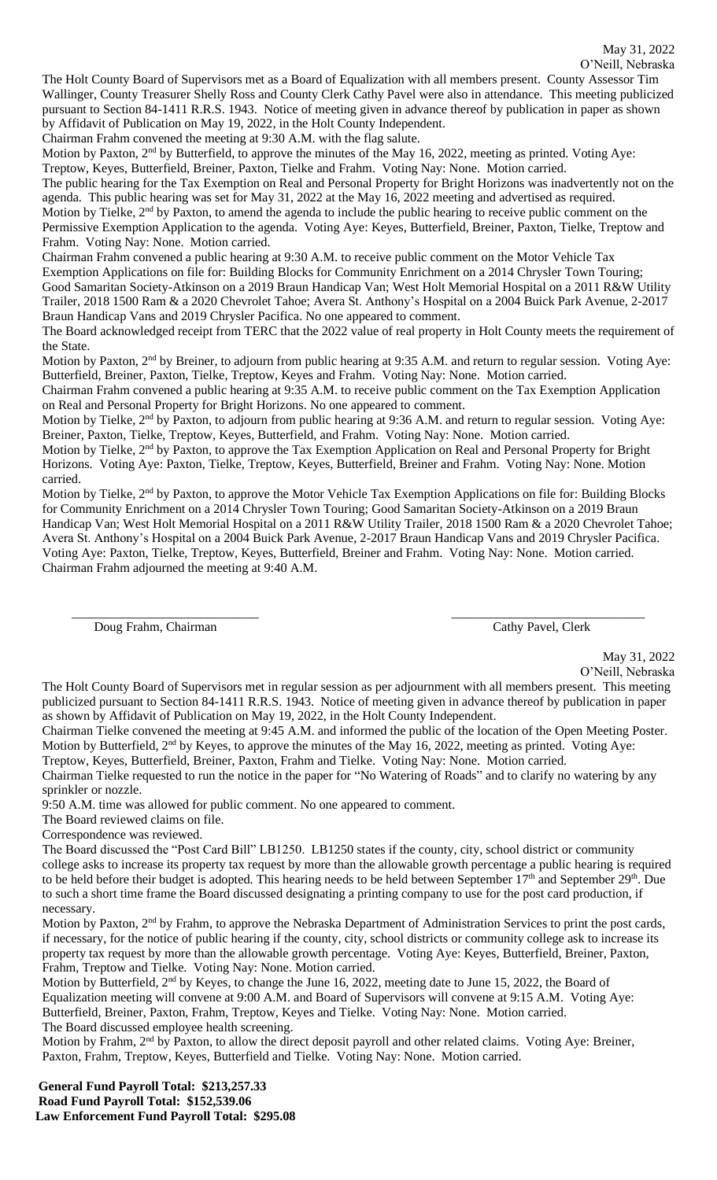The Holt County Board of Supervisors met as a Board of Equalization with all members present. County Assessor Tim Wallinger, County Treasurer Shelly Ross and County Clerk Cathy Pavel were also in attendance. This meeting publicized pursuant to Section 84-1411 R.R.S. 1943. Notice of meeting given in advance thereof by publication in paper as shown by Affidavit of Publication on May 19, 2022, in the Holt County Independent.

Chairman Frahm convened the meeting at 9:30 A.M. with the flag salute.

Motion by Paxton, 2<sup>nd</sup> by Butterfield, to approve the minutes of the May 16, 2022, meeting as printed. Voting Aye: Treptow, Keyes, Butterfield, Breiner, Paxton, Tielke and Frahm. Voting Nay: None. Motion carried.

The public hearing for the Tax Exemption on Real and Personal Property for Bright Horizons was inadvertently not on the agenda. This public hearing was set for May 31, 2022 at the May 16, 2022 meeting and advertised as required.

Motion by Tielke, 2<sup>nd</sup> by Paxton, to amend the agenda to include the public hearing to receive public comment on the Permissive Exemption Application to the agenda. Voting Aye: Keyes, Butterfield, Breiner, Paxton, Tielke, Treptow and Frahm. Voting Nay: None. Motion carried.

Chairman Frahm convened a public hearing at 9:30 A.M. to receive public comment on the Motor Vehicle Tax Exemption Applications on file for: Building Blocks for Community Enrichment on a 2014 Chrysler Town Touring; Good Samaritan Society-Atkinson on a 2019 Braun Handicap Van; West Holt Memorial Hospital on a 2011 R&W Utility Trailer, 2018 1500 Ram & a 2020 Chevrolet Tahoe; Avera St. Anthony's Hospital on a 2004 Buick Park Avenue, 2-2017 Braun Handicap Vans and 2019 Chrysler Pacifica. No one appeared to comment.

The Board acknowledged receipt from TERC that the 2022 value of real property in Holt County meets the requirement of the State.

Motion by Paxton, 2<sup>nd</sup> by Breiner, to adjourn from public hearing at 9:35 A.M. and return to regular session. Voting Aye: Butterfield, Breiner, Paxton, Tielke, Treptow, Keyes and Frahm. Voting Nay: None. Motion carried.

Chairman Frahm convened a public hearing at 9:35 A.M. to receive public comment on the Tax Exemption Application on Real and Personal Property for Bright Horizons. No one appeared to comment.

Motion by Tielke, 2<sup>nd</sup> by Paxton, to adjourn from public hearing at 9:36 A.M. and return to regular session. Voting Aye: Breiner, Paxton, Tielke, Treptow, Keyes, Butterfield, and Frahm. Voting Nay: None. Motion carried.

Motion by Tielke, 2<sup>nd</sup> by Paxton, to approve the Tax Exemption Application on Real and Personal Property for Bright Horizons. Voting Aye: Paxton, Tielke, Treptow, Keyes, Butterfield, Breiner and Frahm. Voting Nay: None. Motion carried.

Motion by Tielke, 2nd by Paxton, to approve the Motor Vehicle Tax Exemption Applications on file for: Building Blocks for Community Enrichment on a 2014 Chrysler Town Touring; Good Samaritan Society-Atkinson on a 2019 Braun Handicap Van; West Holt Memorial Hospital on a 2011 R&W Utility Trailer, 2018 1500 Ram & a 2020 Chevrolet Tahoe; Avera St. Anthony's Hospital on a 2004 Buick Park Avenue, 2-2017 Braun Handicap Vans and 2019 Chrysler Pacifica. Voting Aye: Paxton, Tielke, Treptow, Keyes, Butterfield, Breiner and Frahm. Voting Nay: None. Motion carried. Chairman Frahm adjourned the meeting at 9:40 A.M.

\_\_\_\_\_\_\_\_\_\_\_\_\_\_\_\_\_\_\_\_\_\_\_\_\_\_\_\_\_ \_\_\_\_\_\_\_\_\_\_\_\_\_\_\_\_\_\_\_\_\_\_\_\_\_\_\_\_\_\_

Doug Frahm, Chairman Cathy Pavel, Clerk

May 31, 2022 O'Neill, Nebraska

The Holt County Board of Supervisors met in regular session as per adjournment with all members present. This meeting publicized pursuant to Section 84-1411 R.R.S. 1943. Notice of meeting given in advance thereof by publication in paper as shown by Affidavit of Publication on May 19, 2022, in the Holt County Independent.

Chairman Tielke convened the meeting at 9:45 A.M. and informed the public of the location of the Open Meeting Poster. Motion by Butterfield, 2<sup>nd</sup> by Keyes, to approve the minutes of the May 16, 2022, meeting as printed. Voting Aye: Treptow, Keyes, Butterfield, Breiner, Paxton, Frahm and Tielke. Voting Nay: None. Motion carried.

Chairman Tielke requested to run the notice in the paper for "No Watering of Roads" and to clarify no watering by any sprinkler or nozzle.

9:50 A.M. time was allowed for public comment. No one appeared to comment.

The Board reviewed claims on file.

Correspondence was reviewed.

The Board discussed the "Post Card Bill" LB1250. LB1250 states if the county, city, school district or community college asks to increase its property tax request by more than the allowable growth percentage a public hearing is required to be held before their budget is adopted. This hearing needs to be held between September 17<sup>th</sup> and September 29<sup>th</sup>. Due to such a short time frame the Board discussed designating a printing company to use for the post card production, if necessary.

Motion by Paxton, 2<sup>nd</sup> by Frahm, to approve the Nebraska Department of Administration Services to print the post cards, if necessary, for the notice of public hearing if the county, city, school districts or community college ask to increase its property tax request by more than the allowable growth percentage. Voting Aye: Keyes, Butterfield, Breiner, Paxton, Frahm, Treptow and Tielke. Voting Nay: None. Motion carried.

Motion by Butterfield, 2<sup>nd</sup> by Keyes, to change the June 16, 2022, meeting date to June 15, 2022, the Board of Equalization meeting will convene at 9:00 A.M. and Board of Supervisors will convene at 9:15 A.M. Voting Aye: Butterfield, Breiner, Paxton, Frahm, Treptow, Keyes and Tielke. Voting Nay: None. Motion carried. The Board discussed employee health screening.

Motion by Frahm, 2<sup>nd</sup> by Paxton, to allow the direct deposit payroll and other related claims. Voting Aye: Breiner, Paxton, Frahm, Treptow, Keyes, Butterfield and Tielke. Voting Nay: None. Motion carried.

**General Fund Payroll Total: \$213,257.33 Road Fund Payroll Total: \$152,539.06 Law Enforcement Fund Payroll Total: \$295.08**